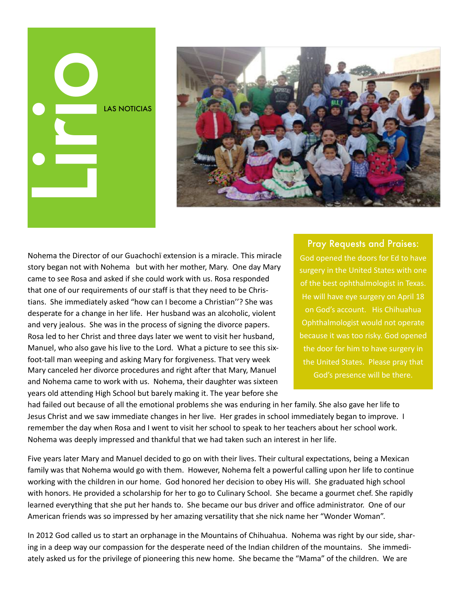## LAS NOTICIAS Lirion Contractor



Nohema the Director of our Guachochï extension is a miracle. This miracle story began not with Nohema but with her mother, Mary. One day Mary came to see Rosa and asked if she could work with us. Rosa responded that one of our requirements of our staff is that they need to be Christians. She immediately asked "how can I become a Christian"? She was desperate for a change in her life. Her husband was an alcoholic, violent and very jealous. She was in the process of signing the divorce papers. Rosa led to her Christ and three days later we went to visit her husband, Manuel, who also gave his live to the Lord. What a picture to see this sixfoot-tall man weeping and asking Mary for forgiveness. That very week Mary canceled her divorce procedures and right after that Mary, Manuel and Nohema came to work with us. Nohema, their daughter was sixteen years old attending High School but barely making it. The year before she

Pray Requests and Praises: God opened the doors for Ed to have surgery in the United States with one of the best ophthalmologist in Texas. He will have eye surgery on April 18 on God's account. His Chihuahua Ophthalmologist would not operate because it was too risky. God opened the door for him to have surgery in the United States. Please pray that God's presence will be there.

had failed out because of all the emotional problems she was enduring in her family. She also gave her life to Jesus Christ and we saw immediate changes in her live. Her grades in school immediately began to improve. I remember the day when Rosa and I went to visit her school to speak to her teachers about her school work. Nohema was deeply impressed and thankful that we had taken such an interest in her life.

Five years later Mary and Manuel decided to go on with their lives. Their cultural expectations, being a Mexican family was that Nohema would go with them. However, Nohema felt a powerful calling upon her life to continue working with the children in our home. God honored her decision to obey His will. She graduated high school with honors. He provided a scholarship for her to go to Culinary School. She became a gourmet chef. She rapidly learned everything that she put her hands to. She became our bus driver and office administrator. One of our American friends was so impressed by her amazing versatility that she nick name her "Wonder Woman".

In 2012 God called us to start an orphanage in the Mountains of Chihuahua. Nohema was right by our side, sharing in a deep way our compassion for the desperate need of the Indian children of the mountains. She immediately asked us for the privilege of pioneering this new home. She became the "Mama" of the children. We are